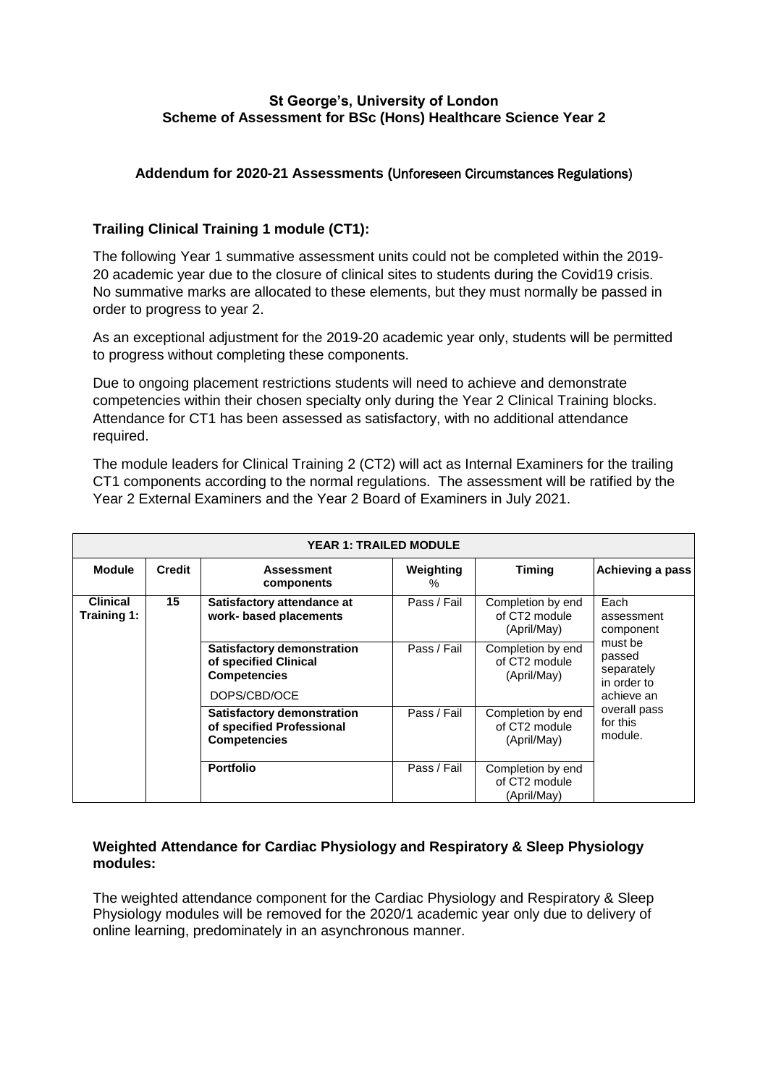### **St George's, University of London Scheme of Assessment for BSc (Hons) Healthcare Science Year 2**

### **Addendum for 2020-21 Assessments (**Unforeseen Circumstances Regulations)

## **Trailing Clinical Training 1 module (CT1):**

The following Year 1 summative assessment units could not be completed within the 2019- 20 academic year due to the closure of clinical sites to students during the Covid19 crisis. No summative marks are allocated to these elements, but they must normally be passed in order to progress to year 2.

As an exceptional adjustment for the 2019-20 academic year only, students will be permitted to progress without completing these components.

Due to ongoing placement restrictions students will need to achieve and demonstrate competencies within their chosen specialty only during the Year 2 Clinical Training blocks. Attendance for CT1 has been assessed as satisfactory, with no additional attendance required.

The module leaders for Clinical Training 2 (CT2) will act as Internal Examiners for the trailing CT1 components according to the normal regulations. The assessment will be ratified by the Year 2 External Examiners and the Year 2 Board of Examiners in July 2021.

| <b>YEAR 1: TRAILED MODULE</b>  |               |                                                                                |                |                                                   |                                                                                                                                        |  |  |  |  |
|--------------------------------|---------------|--------------------------------------------------------------------------------|----------------|---------------------------------------------------|----------------------------------------------------------------------------------------------------------------------------------------|--|--|--|--|
| <b>Module</b>                  | <b>Credit</b> | <b>Assessment</b><br>components                                                | Weighting<br>% | <b>Timing</b>                                     | Achieving a pass                                                                                                                       |  |  |  |  |
| <b>Clinical</b><br>Training 1: | 15            | Satisfactory attendance at<br>work- based placements                           | Pass / Fail    | Completion by end<br>of CT2 module<br>(April/May) | Each<br>assessment<br>component<br>must be<br>passed<br>separately<br>in order to<br>achieve an<br>overall pass<br>for this<br>module. |  |  |  |  |
|                                |               | Satisfactory demonstration<br>of specified Clinical<br><b>Competencies</b>     | Pass / Fail    | Completion by end<br>of CT2 module<br>(April/May) |                                                                                                                                        |  |  |  |  |
|                                |               | DOPS/CBD/OCE                                                                   |                |                                                   |                                                                                                                                        |  |  |  |  |
|                                |               | Satisfactory demonstration<br>of specified Professional<br><b>Competencies</b> | Pass / Fail    | Completion by end<br>of CT2 module<br>(April/May) |                                                                                                                                        |  |  |  |  |
|                                |               | <b>Portfolio</b>                                                               | Pass / Fail    | Completion by end<br>of CT2 module<br>(April/May) |                                                                                                                                        |  |  |  |  |

#### **Weighted Attendance for Cardiac Physiology and Respiratory & Sleep Physiology modules:**

The weighted attendance component for the Cardiac Physiology and Respiratory & Sleep Physiology modules will be removed for the 2020/1 academic year only due to delivery of online learning, predominately in an asynchronous manner.